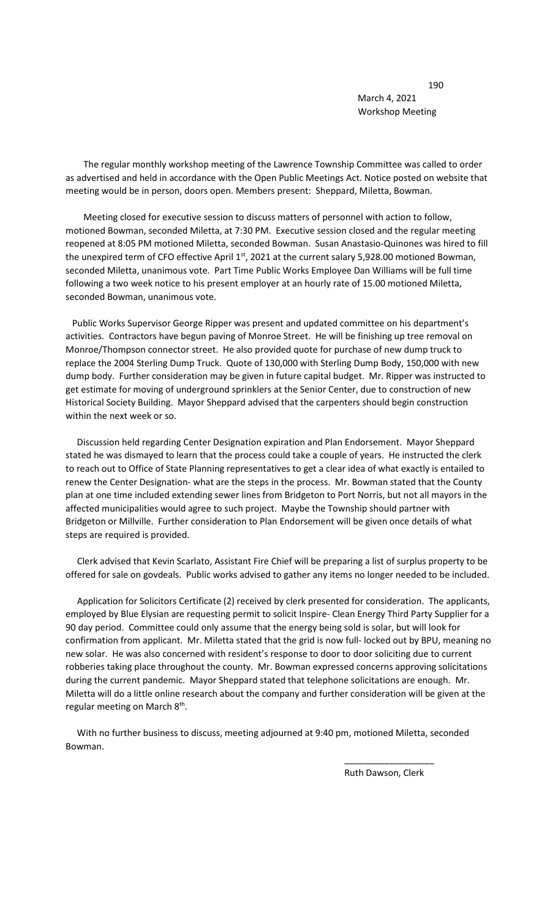190 March 4, 2021 Workshop Meeting

 The regular monthly workshop meeting of the Lawrence Township Committee was called to order as advertised and held in accordance with the Open Public Meetings Act. Notice posted on website that meeting would be in person, doors open. Members present: Sheppard, Miletta, Bowman.

 Meeting closed for executive session to discuss matters of personnel with action to follow, motioned Bowman, seconded Miletta, at 7:30 PM. Executive session closed and the regular meeting reopened at 8:05 PM motioned Miletta, seconded Bowman. Susan Anastasio-Quinones was hired to fill the unexpired term of CFO effective April 1<sup>st</sup>, 2021 at the current salary 5,928.00 motioned Bowman, seconded Miletta, unanimous vote. Part Time Public Works Employee Dan Williams will be full time following a two week notice to his present employer at an hourly rate of 15.00 motioned Miletta, seconded Bowman, unanimous vote.

Public Works Supervisor George Ripper was present and updated committee on his department's activities. Contractors have begun paving of Monroe Street. He will be finishing up tree removal on Monroe/Thompson connector street. He also provided quote for purchase of new dump truck to replace the 2004 Sterling Dump Truck. Quote of 130,000 with Sterling Dump Body, 150,000 with new dump body. Further consideration may be given in future capital budget. Mr. Ripper was instructed to get estimate for moving of underground sprinklers at the Senior Center, due to construction of new Historical Society Building. Mayor Sheppard advised that the carpenters should begin construction within the next week or so.

 Discussion held regarding Center Designation expiration and Plan Endorsement. Mayor Sheppard stated he was dismayed to learn that the process could take a couple of years. He instructed the clerk to reach out to Office of State Planning representatives to get a clear idea of what exactly is entailed to renew the Center Designation- what are the steps in the process. Mr. Bowman stated that the County plan at one time included extending sewer lines from Bridgeton to Port Norris, but not all mayors in the affected municipalities would agree to such project. Maybe the Township should partner with Bridgeton or Millville. Further consideration to Plan Endorsement will be given once details of what steps are required is provided.

 Clerk advised that Kevin Scarlato, Assistant Fire Chief will be preparing a list of surplus property to be offered for sale on govdeals. Public works advised to gather any items no longer needed to be included.

 Application for Solicitors Certificate (2) received by clerk presented for consideration. The applicants, employed by Blue Elysian are requesting permit to solicit Inspire- Clean Energy Third Party Supplier for a 90 day period. Committee could only assume that the energy being sold is solar, but will look for confirmation from applicant. Mr. Miletta stated that the grid is now full- locked out by BPU, meaning no new solar. He was also concerned with resident's response to door to door soliciting due to current robberies taking place throughout the county. Mr. Bowman expressed concerns approving solicitations during the current pandemic. Mayor Sheppard stated that telephone solicitations are enough. Mr. Miletta will do a little online research about the company and further consideration will be given at the regular meeting on March 8<sup>th</sup>.

 With no further business to discuss, meeting adjourned at 9:40 pm, motioned Miletta, seconded Bowman.

 $\overline{\phantom{a}}$  , and the contract of the contract of the contract of the contract of the contract of the contract of the contract of the contract of the contract of the contract of the contract of the contract of the contrac

Ruth Dawson, Clerk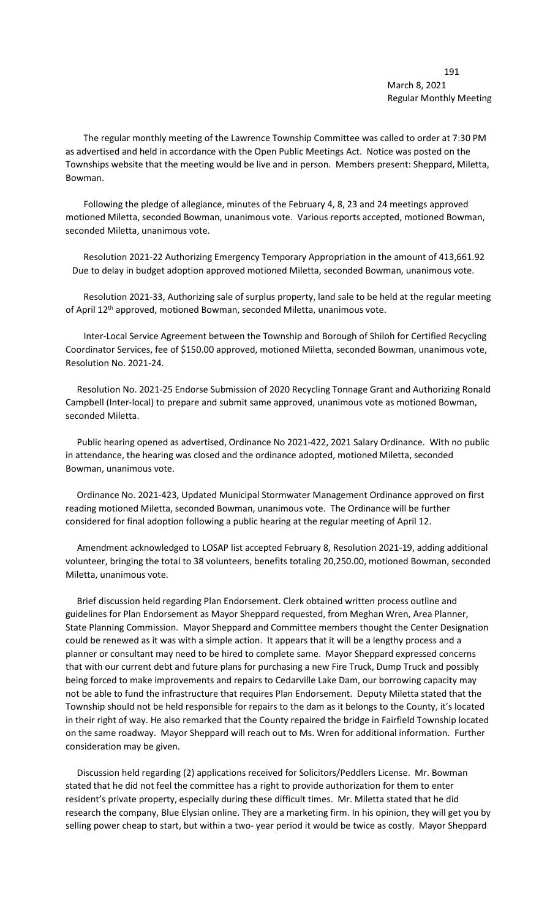## 191 March 8, 2021 Regular Monthly Meeting

 The regular monthly meeting of the Lawrence Township Committee was called to order at 7:30 PM as advertised and held in accordance with the Open Public Meetings Act. Notice was posted on the Townships website that the meeting would be live and in person. Members present: Sheppard, Miletta, Bowman.

 Following the pledge of allegiance, minutes of the February 4, 8, 23 and 24 meetings approved motioned Miletta, seconded Bowman, unanimous vote. Various reports accepted, motioned Bowman, seconded Miletta, unanimous vote.

 Resolution 2021-22 Authorizing Emergency Temporary Appropriation in the amount of 413,661.92 Due to delay in budget adoption approved motioned Miletta, seconded Bowman, unanimous vote.

 Resolution 2021-33, Authorizing sale of surplus property, land sale to be held at the regular meeting of April 12<sup>th</sup> approved, motioned Bowman, seconded Miletta, unanimous vote.

 Inter-Local Service Agreement between the Township and Borough of Shiloh for Certified Recycling Coordinator Services, fee of \$150.00 approved, motioned Miletta, seconded Bowman, unanimous vote, Resolution No. 2021-24.

 Resolution No. 2021-25 Endorse Submission of 2020 Recycling Tonnage Grant and Authorizing Ronald Campbell (Inter-local) to prepare and submit same approved, unanimous vote as motioned Bowman, seconded Miletta.

 Public hearing opened as advertised, Ordinance No 2021-422, 2021 Salary Ordinance. With no public in attendance, the hearing was closed and the ordinance adopted, motioned Miletta, seconded Bowman, unanimous vote.

 Ordinance No. 2021-423, Updated Municipal Stormwater Management Ordinance approved on first reading motioned Miletta, seconded Bowman, unanimous vote. The Ordinance will be further considered for final adoption following a public hearing at the regular meeting of April 12.

 Amendment acknowledged to LOSAP list accepted February 8, Resolution 2021-19, adding additional volunteer, bringing the total to 38 volunteers, benefits totaling 20,250.00, motioned Bowman, seconded Miletta, unanimous vote.

 Brief discussion held regarding Plan Endorsement. Clerk obtained written process outline and guidelines for Plan Endorsement as Mayor Sheppard requested, from Meghan Wren, Area Planner, State Planning Commission. Mayor Sheppard and Committee members thought the Center Designation could be renewed as it was with a simple action. It appears that it will be a lengthy process and a planner or consultant may need to be hired to complete same. Mayor Sheppard expressed concerns that with our current debt and future plans for purchasing a new Fire Truck, Dump Truck and possibly being forced to make improvements and repairs to Cedarville Lake Dam, our borrowing capacity may not be able to fund the infrastructure that requires Plan Endorsement. Deputy Miletta stated that the Township should not be held responsible for repairs to the dam as it belongs to the County, it's located in their right of way. He also remarked that the County repaired the bridge in Fairfield Township located on the same roadway. Mayor Sheppard will reach out to Ms. Wren for additional information. Further consideration may be given.

 Discussion held regarding (2) applications received for Solicitors/Peddlers License. Mr. Bowman stated that he did not feel the committee has a right to provide authorization for them to enter resident's private property, especially during these difficult times. Mr. Miletta stated that he did research the company, Blue Elysian online. They are a marketing firm. In his opinion, they will get you by selling power cheap to start, but within a two- year period it would be twice as costly. Mayor Sheppard